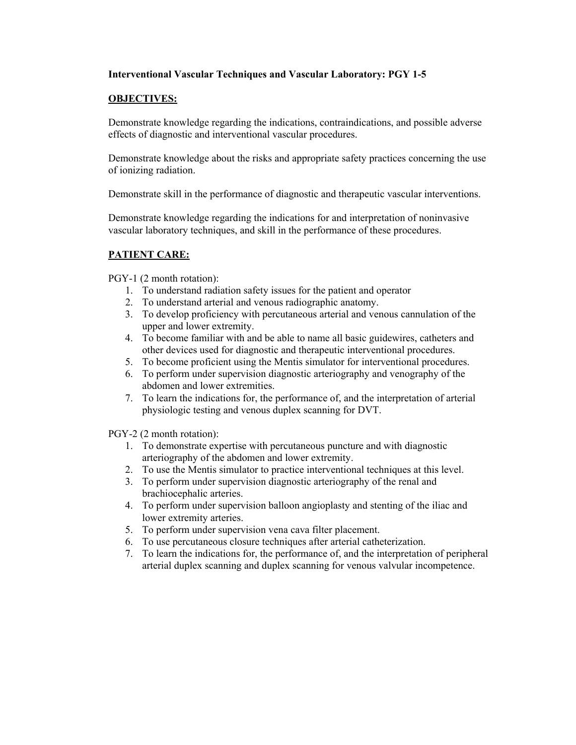## **Interventional Vascular Techniques and Vascular Laboratory: PGY 1-5**

## **OBJECTIVES:**

Demonstrate knowledge regarding the indications, contraindications, and possible adverse effects of diagnostic and interventional vascular procedures.

Demonstrate knowledge about the risks and appropriate safety practices concerning the use of ionizing radiation.

Demonstrate skill in the performance of diagnostic and therapeutic vascular interventions.

Demonstrate knowledge regarding the indications for and interpretation of noninvasive vascular laboratory techniques, and skill in the performance of these procedures.

## **PATIENT CARE:**

PGY-1 (2 month rotation):

- 1. To understand radiation safety issues for the patient and operator
- 2. To understand arterial and venous radiographic anatomy.
- 3. To develop proficiency with percutaneous arterial and venous cannulation of the upper and lower extremity.
- 4. To become familiar with and be able to name all basic guidewires, catheters and other devices used for diagnostic and therapeutic interventional procedures.
- 5. To become proficient using the Mentis simulator for interventional procedures.
- 6. To perform under supervision diagnostic arteriography and venography of the abdomen and lower extremities.
- 7. To learn the indications for, the performance of, and the interpretation of arterial physiologic testing and venous duplex scanning for DVT.

PGY-2 (2 month rotation):

- 1. To demonstrate expertise with percutaneous puncture and with diagnostic arteriography of the abdomen and lower extremity.
- 2. To use the Mentis simulator to practice interventional techniques at this level.
- 3. To perform under supervision diagnostic arteriography of the renal and brachiocephalic arteries.
- 4. To perform under supervision balloon angioplasty and stenting of the iliac and lower extremity arteries.
- 5. To perform under supervision vena cava filter placement.
- 6. To use percutaneous closure techniques after arterial catheterization.
- 7. To learn the indications for, the performance of, and the interpretation of peripheral arterial duplex scanning and duplex scanning for venous valvular incompetence.